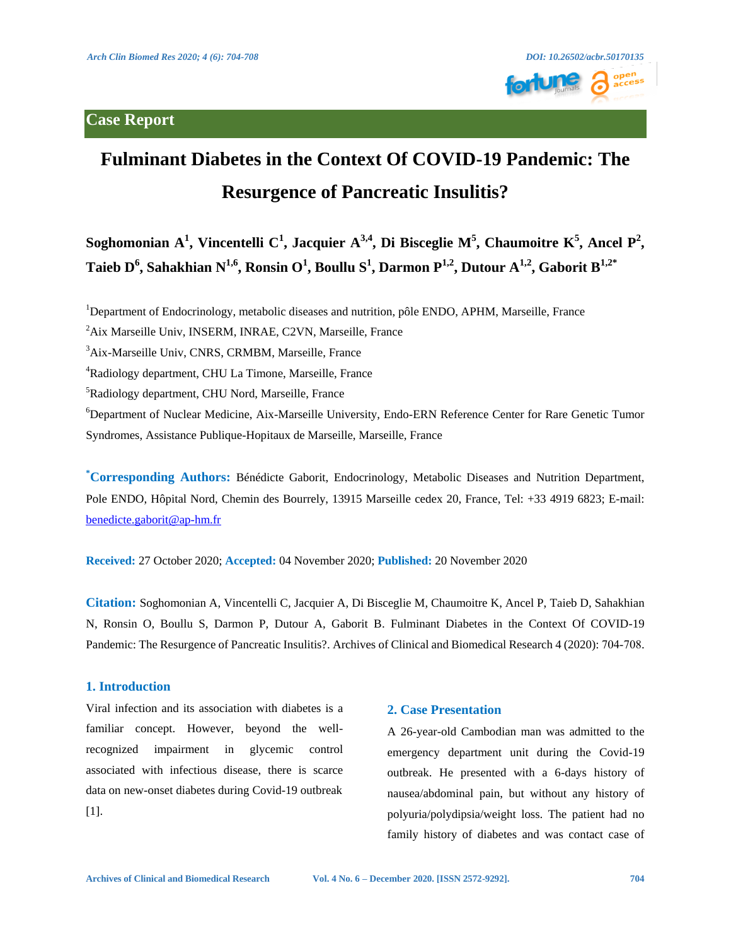## **Case Report**



# **Fulminant Diabetes in the Context Of COVID-19 Pandemic: The Resurgence of Pancreatic Insulitis?**

Soghomonian  $A^1$ , Vincentelli  $C^1$ , Jacquier  $A^{3,4}$ , Di Bisceglie  $M^5$ , Chaumoitre  $K^5$ , Ancel  $P^2$ ,  $\bf{T}$ aieb  $\bf{D}^6$ , Sahakhian N $^{1,6}$ , Ronsin O $^1$ , Boullu S $^1$ , Darmon P $^{1,2}$ , Dutour A $^{1,2}$ , Gaborit B $^{1,2^*}$ 

<sup>1</sup>Department of Endocrinology, metabolic diseases and nutrition, pôle ENDO, APHM, Marseille, France

<sup>2</sup>Aix Marseille Univ, INSERM, INRAE, C2VN, Marseille, France

3 Aix-Marseille Univ, CNRS, CRMBM, Marseille, France

4 Radiology department, CHU La Timone, Marseille, France

<sup>5</sup>Radiology department, CHU Nord, Marseille, France

6 Department of Nuclear Medicine, Aix-Marseille University, Endo-ERN Reference Center for Rare Genetic Tumor Syndromes, Assistance Publique-Hopitaux de Marseille, Marseille, France

**\* Corresponding Authors:** Bénédicte Gaborit, Endocrinology, Metabolic Diseases and Nutrition Department, Pole ENDO, Hôpital Nord, Chemin des Bourrely, 13915 Marseille cedex 20, France, Tel: +33 4919 6823; E-mail: [benedicte.gaborit@ap-hm.fr](mailto:benedicte.gaborit@ap-hm.fr) 

**Received:** 27 October 2020; **Accepted:** 04 November 2020; **Published:** 20 November 2020

**Citation:** Soghomonian A, Vincentelli C, Jacquier A, Di Bisceglie M, Chaumoitre K, Ancel P, Taieb D, Sahakhian N, Ronsin O, Boullu S, Darmon P, Dutour A, Gaborit B. Fulminant Diabetes in the Context Of COVID-19 Pandemic: The Resurgence of Pancreatic Insulitis?. Archives of Clinical and Biomedical Research 4 (2020): 704-708.

#### **1. Introduction**

Viral infection and its association with diabetes is a familiar concept. However, beyond the wellrecognized impairment in glycemic control associated with infectious disease, there is scarce data on new-onset diabetes during Covid-19 outbreak [1].

### **2. Case Presentation**

A 26-year-old Cambodian man was admitted to the emergency department unit during the Covid-19 outbreak. He presented with a 6-days history of nausea/abdominal pain, but without any history of polyuria/polydipsia/weight loss. The patient had no family history of diabetes and was contact case of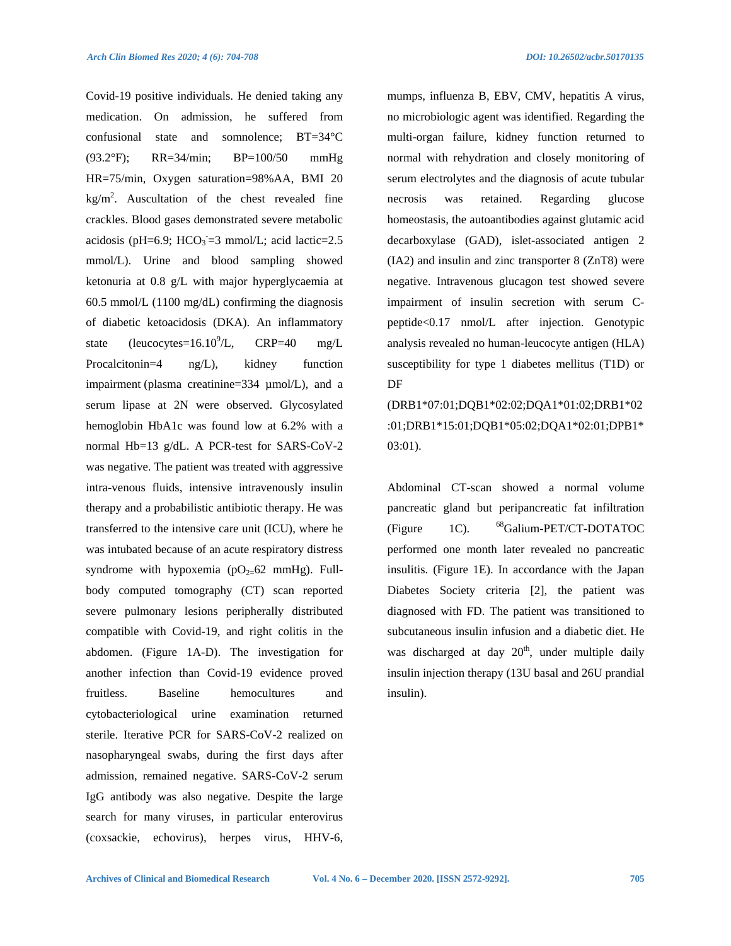Covid-19 positive individuals. He denied taking any medication. On admission, he suffered from confusional state and somnolence; BT=34°C (93.2°F); RR=34/min; BP=100/50 mmHg HR=75/min, Oxygen saturation=98%AA, BMI 20  $\text{kg/m}^2$ . Auscultation of the chest revealed fine crackles. Blood gases demonstrated severe metabolic acidosis (pH=6.9; HCO<sub>3</sub>=3 mmol/L; acid lactic=2.5 mmol/L). Urine and blood sampling showed ketonuria at 0.8 g/L with major hyperglycaemia at 60.5 mmol/L (1100 mg/dL) confirming the diagnosis of diabetic ketoacidosis (DKA). An inflammatory state (leucocytes= $16.10^9$ /L,  $CRP=40$  mg/L Procalcitonin=4 ng/L), kidney function impairment (plasma creatinine=334 µmol/L), and a serum lipase at 2N were observed. Glycosylated hemoglobin HbA1c was found low at 6.2% with a normal Hb=13 g/dL. A PCR-test for SARS-CoV-2 was negative. The patient was treated with aggressive intra-venous fluids, intensive intravenously insulin therapy and a probabilistic antibiotic therapy. He was transferred to the intensive care unit (ICU), where he was intubated because of an acute respiratory distress syndrome with hypoxemia ( $pO_{2}=62$  mmHg). Fullbody computed tomography (CT) scan reported severe pulmonary lesions peripherally distributed compatible with Covid-19, and right colitis in the abdomen. (Figure 1A-D). The investigation for another infection than Covid-19 evidence proved fruitless. Baseline hemocultures and cytobacteriological urine examination returned sterile. Iterative PCR for SARS-CoV-2 realized on nasopharyngeal swabs, during the first days after admission, remained negative. SARS-CoV-2 serum IgG antibody was also negative. Despite the large search for many viruses, in particular enterovirus (coxsackie, echovirus), herpes virus, HHV-6,

mumps, influenza B, EBV, CMV, hepatitis A virus, no microbiologic agent was identified. Regarding the multi-organ failure, kidney function returned to normal with rehydration and closely monitoring of serum electrolytes and the diagnosis of acute tubular necrosis was retained. Regarding glucose homeostasis, the autoantibodies against glutamic acid decarboxylase (GAD), islet-associated antigen 2 (IA2) and insulin and zinc transporter 8 (ZnT8) were negative. Intravenous glucagon test showed severe impairment of insulin secretion with serum Cpeptide<0.17 nmol/L after injection. Genotypic analysis revealed no human-leucocyte antigen (HLA) susceptibility for type 1 diabetes mellitus (T1D) or DF

(DRB1\*07:01;DQB1\*02:02;DQA1\*01:02;DRB1\*02 :01;DRB1\*15:01;DQB1\*05:02;DQA1\*02:01;DPB1\* 03:01).

Abdominal CT-scan showed a normal volume pancreatic gland but peripancreatic fat infiltration (Figure 1C). <sup>68</sup>Galium-PET/CT-DOTATOC performed one month later revealed no pancreatic insulitis. (Figure 1E). In accordance with the Japan Diabetes Society criteria [2], the patient was diagnosed with FD. The patient was transitioned to subcutaneous insulin infusion and a diabetic diet. He was discharged at day  $20<sup>th</sup>$ , under multiple daily insulin injection therapy (13U basal and 26U prandial insulin).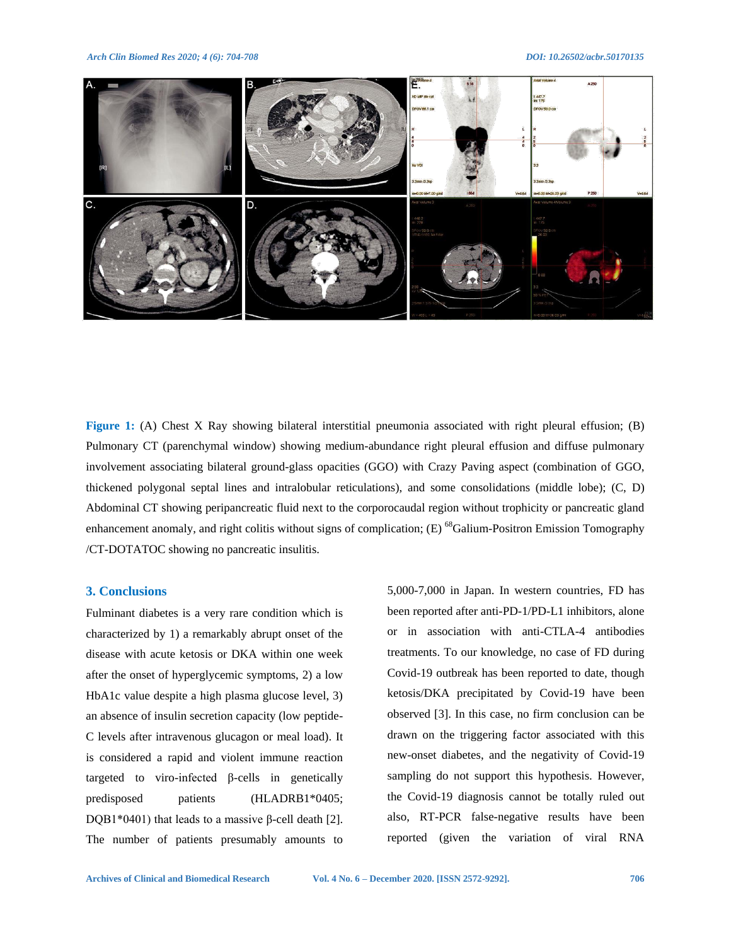*Arch Clin Biomed Res 2020; 4 (6): 704-708 DOI: 10.26502/acbr.50170135*



**Figure 1:** (A) Chest X Ray showing bilateral interstitial pneumonia associated with right pleural effusion; (B) Pulmonary CT (parenchymal window) showing medium-abundance right pleural effusion and diffuse pulmonary involvement associating bilateral ground-glass opacities (GGO) with Crazy Paving aspect (combination of GGO, thickened polygonal septal lines and intralobular reticulations), and some consolidations (middle lobe); (C, D) Abdominal CT showing peripancreatic fluid next to the corporocaudal region without trophicity or pancreatic gland enhancement anomaly, and right colitis without signs of complication; (E) <sup>68</sup>Galium-Positron Emission Tomography /CT-DOTATOC showing no pancreatic insulitis.

#### **3. Conclusions**

Fulminant diabetes is a very rare condition which is characterized by 1) a remarkably abrupt onset of the disease with acute ketosis or DKA within one week after the onset of hyperglycemic symptoms, 2) a low HbA1c value despite a high plasma glucose level, 3) an absence of insulin secretion capacity (low peptide-C levels after intravenous glucagon or meal load). It is considered a rapid and violent immune reaction targeted to viro-infected β-cells in genetically predisposed patients (HLADRB1\*0405; DQB1\*0401) that leads to a massive β-cell death [2]. The number of patients presumably amounts to

5,000-7,000 in Japan. In western countries, FD has been reported after anti-PD-1/PD-L1 inhibitors, alone or in association with anti-CTLA-4 antibodies treatments. To our knowledge, no case of FD during Covid-19 outbreak has been reported to date, though ketosis/DKA precipitated by Covid-19 have been observed [3]. In this case, no firm conclusion can be drawn on the triggering factor associated with this new-onset diabetes, and the negativity of Covid-19 sampling do not support this hypothesis. However, the Covid-19 diagnosis cannot be totally ruled out also, RT-PCR false-negative results have been reported (given the variation of viral RNA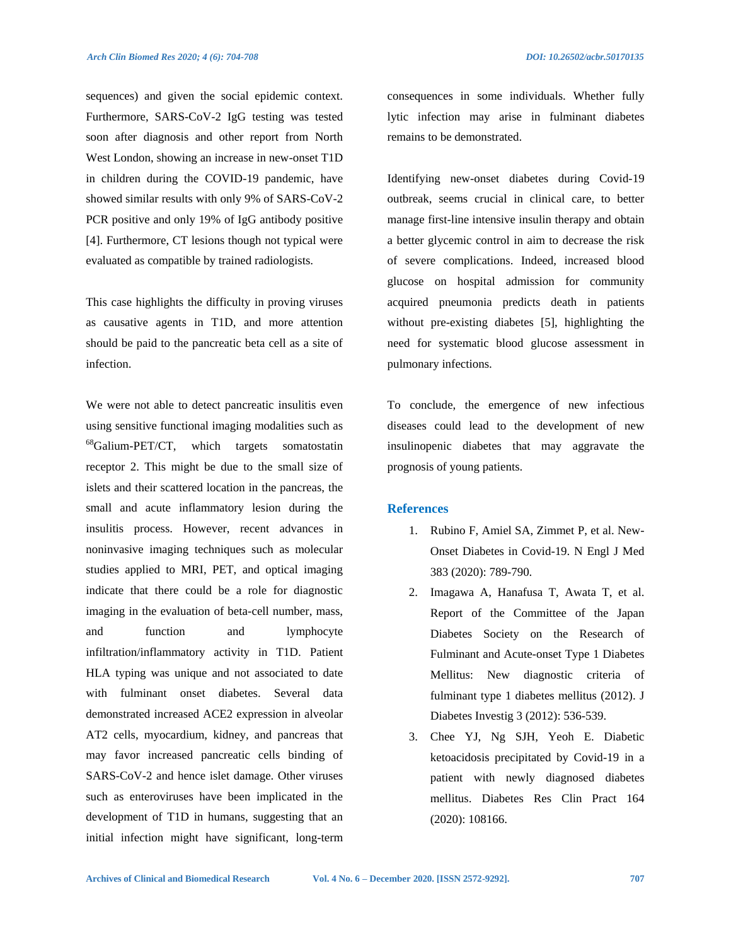sequences) and given the social epidemic context. Furthermore, SARS-CoV-2 IgG testing was tested soon after diagnosis and other report from North West London, showing an increase in new-onset T1D in children during the COVID-19 pandemic, have showed similar results with only 9% of SARS-CoV-2 PCR positive and only 19% of IgG antibody positive [4]. Furthermore, CT lesions though not typical were evaluated as compatible by trained radiologists.

This case highlights the difficulty in proving viruses as causative agents in T1D, and more attention should be paid to the pancreatic beta cell as a site of infection.

We were not able to detect pancreatic insulitis even using sensitive functional imaging modalities such as <sup>68</sup>Galium-PET/CT, which targets somatostatin receptor 2. This might be due to the small size of islets and their scattered location in the pancreas, the small and acute inflammatory lesion during the insulitis process. However, recent advances in noninvasive imaging techniques such as molecular studies applied to MRI, PET, and optical imaging indicate that there could be a role for diagnostic imaging in the evaluation of beta-cell number, mass, and function and lymphocyte infiltration/inflammatory activity in T1D. Patient HLA typing was unique and not associated to date with fulminant onset diabetes. Several data demonstrated increased ACE2 expression in alveolar AT2 cells, myocardium, kidney, and pancreas that may favor increased pancreatic cells binding of SARS-CoV-2 and hence islet damage. Other viruses such as enteroviruses have been implicated in the development of T1D in humans, suggesting that an initial infection might have significant, long-term

consequences in some individuals. Whether fully lytic infection may arise in fulminant diabetes remains to be demonstrated.

Identifying new-onset diabetes during Covid-19 outbreak, seems crucial in clinical care, to better manage first-line intensive insulin therapy and obtain a better glycemic control in aim to decrease the risk of severe complications. Indeed, increased blood glucose on hospital admission for community acquired pneumonia predicts death in patients without pre-existing diabetes [5], highlighting the need for systematic blood glucose assessment in pulmonary infections.

To conclude, the emergence of new infectious diseases could lead to the development of new insulinopenic diabetes that may aggravate the prognosis of young patients.

#### **References**

- 1. Rubino F, Amiel SA, Zimmet P, et al. New-Onset Diabetes in Covid-19. N Engl J Med 383 (2020): 789-790.
- 2. Imagawa A, Hanafusa T, Awata T, et al. Report of the Committee of the Japan Diabetes Society on the Research of Fulminant and Acute-onset Type 1 Diabetes Mellitus: New diagnostic criteria of fulminant type 1 diabetes mellitus (2012). J Diabetes Investig 3 (2012): 536-539.
- 3. Chee YJ, Ng SJH, Yeoh E. Diabetic ketoacidosis precipitated by Covid-19 in a patient with newly diagnosed diabetes mellitus. Diabetes Res Clin Pract 164 (2020): 108166.